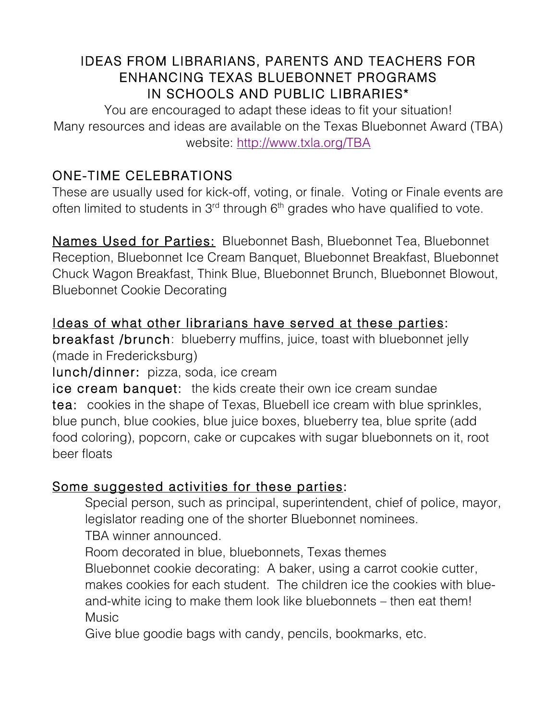### IDEAS FROM LIBRARIANS, PARENTS AND TEACHERS FOR ENHANCING TEXAS BLUEBONNET PROGRAMS IN SCHOOLS AND PUBLIC LIBRARIES\*

You are encouraged to adapt these ideas to fit your situation! Many resources and ideas are available on the Texas Bluebonnet Award (TBA) website: http://www.txla.org/TBA

## ONE-TIME CELEBRATIONS

These are usually used for kick-off, voting, or finale. Voting or Finale events are often limited to students in  $3<sup>rd</sup>$  through  $6<sup>th</sup>$  grades who have qualified to vote.

Names Used for Parties: Bluebonnet Bash, Bluebonnet Tea, Bluebonnet Reception, Bluebonnet Ice Cream Banquet, Bluebonnet Breakfast, Bluebonnet Chuck Wagon Breakfast, Think Blue, Bluebonnet Brunch, Bluebonnet Blowout, Bluebonnet Cookie Decorating

#### Ideas of what other librarians have served at these parties:

breakfast /brunch: blueberry muffins, juice, toast with bluebonnet jelly (made in Fredericksburg)

lunch/dinner: pizza, soda, ice cream

ice cream banquet: the kids create their own ice cream sundae tea: cookies in the shape of Texas, Bluebell ice cream with blue sprinkles, blue punch, blue cookies, blue juice boxes, blueberry tea, blue sprite (add food coloring), popcorn, cake or cupcakes with sugar bluebonnets on it, root beer floats

#### Some suggested activities for these parties:

 Special person, such as principal, superintendent, chief of police, mayor, legislator reading one of the shorter Bluebonnet nominees.

TBA winner announced.

Room decorated in blue, bluebonnets, Texas themes

 Bluebonnet cookie decorating: A baker, using a carrot cookie cutter, makes cookies for each student. The children ice the cookies with blueand-white icing to make them look like bluebonnets – then eat them! Music

Give blue goodie bags with candy, pencils, bookmarks, etc.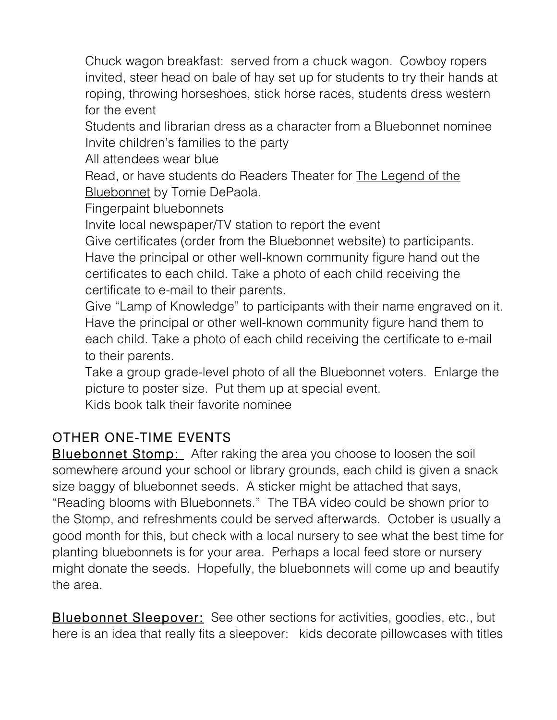Chuck wagon breakfast: served from a chuck wagon. Cowboy ropers invited, steer head on bale of hay set up for students to try their hands at roping, throwing horseshoes, stick horse races, students dress western for the event

 Students and librarian dress as a character from a Bluebonnet nominee Invite children's families to the party

All attendees wear blue

 Read, or have students do Readers Theater for The Legend of the **Bluebonnet by Tomie DePaola.** 

Fingerpaint bluebonnets

Invite local newspaper/TV station to report the event

 Give certificates (order from the Bluebonnet website) to participants. Have the principal or other well-known community figure hand out the certificates to each child. Take a photo of each child receiving the certificate to e-mail to their parents.

 Give "Lamp of Knowledge" to participants with their name engraved on it. Have the principal or other well-known community figure hand them to each child. Take a photo of each child receiving the certificate to e-mail to their parents.

 Take a group grade-level photo of all the Bluebonnet voters. Enlarge the picture to poster size. Put them up at special event.

Kids book talk their favorite nominee

# OTHER ONE-TIME EVENTS

**Bluebonnet Stomp:** After raking the area you choose to loosen the soil somewhere around your school or library grounds, each child is given a snack size baggy of bluebonnet seeds. A sticker might be attached that says, "Reading blooms with Bluebonnets." The TBA video could be shown prior to the Stomp, and refreshments could be served afterwards. October is usually a good month for this, but check with a local nursery to see what the best time for planting bluebonnets is for your area. Perhaps a local feed store or nursery might donate the seeds. Hopefully, the bluebonnets will come up and beautify the area.

**Bluebonnet Sleepover:** See other sections for activities, goodies, etc., but here is an idea that really fits a sleepover: kids decorate pillowcases with titles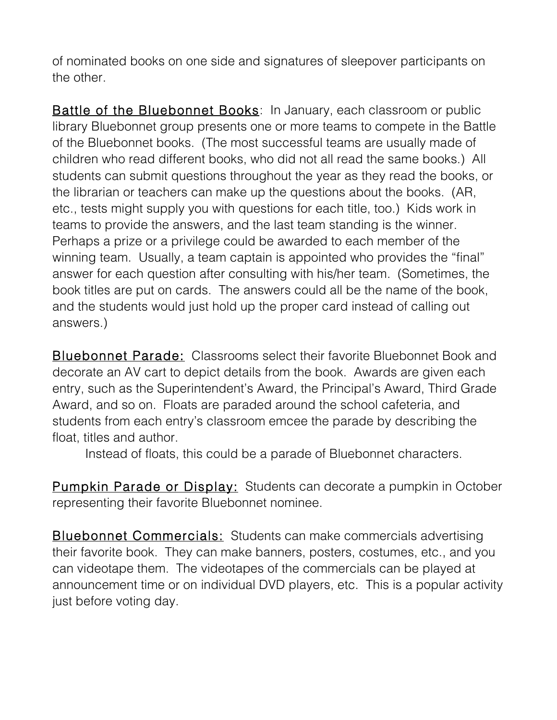of nominated books on one side and signatures of sleepover participants on the other.

**Battle of the Bluebonnet Books:** In January, each classroom or public library Bluebonnet group presents one or more teams to compete in the Battle of the Bluebonnet books. (The most successful teams are usually made of children who read different books, who did not all read the same books.) All students can submit questions throughout the year as they read the books, or the librarian or teachers can make up the questions about the books. (AR, etc., tests might supply you with questions for each title, too.) Kids work in teams to provide the answers, and the last team standing is the winner. Perhaps a prize or a privilege could be awarded to each member of the winning team. Usually, a team captain is appointed who provides the "final" answer for each question after consulting with his/her team. (Sometimes, the book titles are put on cards. The answers could all be the name of the book, and the students would just hold up the proper card instead of calling out answers.)

Bluebonnet Parade: Classrooms select their favorite Bluebonnet Book and decorate an AV cart to depict details from the book. Awards are given each entry, such as the Superintendent's Award, the Principal's Award, Third Grade Award, and so on. Floats are paraded around the school cafeteria, and students from each entry's classroom emcee the parade by describing the float, titles and author.

Instead of floats, this could be a parade of Bluebonnet characters.

Pumpkin Parade or Display: Students can decorate a pumpkin in October representing their favorite Bluebonnet nominee.

Bluebonnet Commercials: Students can make commercials advertising their favorite book. They can make banners, posters, costumes, etc., and you can videotape them. The videotapes of the commercials can be played at announcement time or on individual DVD players, etc. This is a popular activity just before voting day.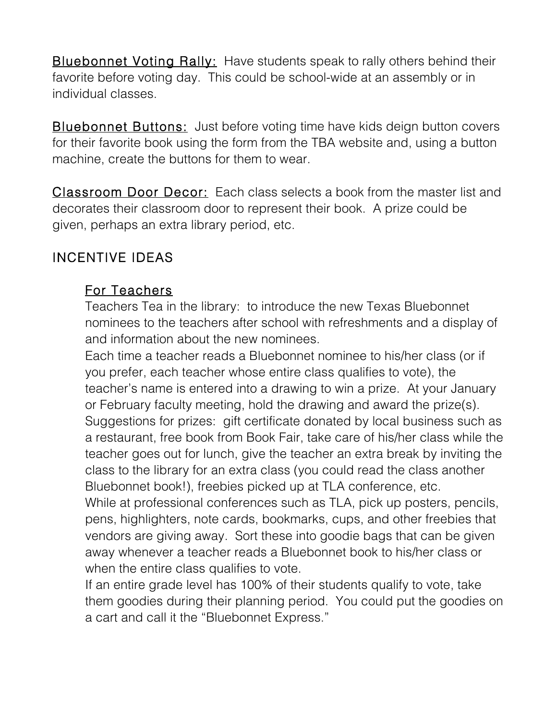**Bluebonnet Voting Rally:** Have students speak to rally others behind their favorite before voting day. This could be school-wide at an assembly or in individual classes.

**Bluebonnet Buttons:** Just before voting time have kids deign button covers for their favorite book using the form from the TBA website and, using a button machine, create the buttons for them to wear.

Classroom Door Decor: Each class selects a book from the master list and decorates their classroom door to represent their book. A prize could be given, perhaps an extra library period, etc.

### INCENTIVE IDEAS

#### For Teachers

 Teachers Tea in the library: to introduce the new Texas Bluebonnet nominees to the teachers after school with refreshments and a display of and information about the new nominees.

 Each time a teacher reads a Bluebonnet nominee to his/her class (or if you prefer, each teacher whose entire class qualifies to vote), the teacher's name is entered into a drawing to win a prize. At your January or February faculty meeting, hold the drawing and award the prize(s). Suggestions for prizes: gift certificate donated by local business such as a restaurant, free book from Book Fair, take care of his/her class while the teacher goes out for lunch, give the teacher an extra break by inviting the class to the library for an extra class (you could read the class another Bluebonnet book!), freebies picked up at TLA conference, etc.

 While at professional conferences such as TLA, pick up posters, pencils, pens, highlighters, note cards, bookmarks, cups, and other freebies that vendors are giving away. Sort these into goodie bags that can be given away whenever a teacher reads a Bluebonnet book to his/her class or when the entire class qualifies to vote.

 If an entire grade level has 100% of their students qualify to vote, take them goodies during their planning period. You could put the goodies on a cart and call it the "Bluebonnet Express."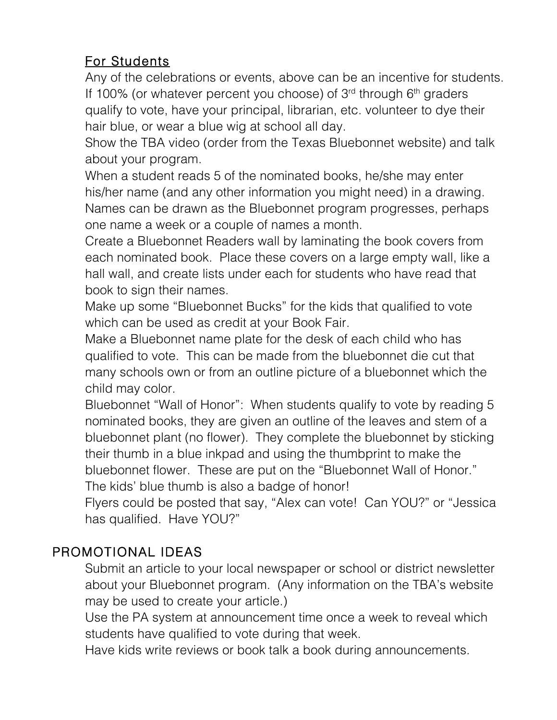## For Students

 Any of the celebrations or events, above can be an incentive for students. If 100% (or whatever percent you choose) of  $3<sup>rd</sup>$  through  $6<sup>th</sup>$  graders qualify to vote, have your principal, librarian, etc. volunteer to dye their hair blue, or wear a blue wig at school all day.

 Show the TBA video (order from the Texas Bluebonnet website) and talk about your program.

 When a student reads 5 of the nominated books, he/she may enter his/her name (and any other information you might need) in a drawing. Names can be drawn as the Bluebonnet program progresses, perhaps one name a week or a couple of names a month.

 Create a Bluebonnet Readers wall by laminating the book covers from each nominated book. Place these covers on a large empty wall, like a hall wall, and create lists under each for students who have read that book to sign their names.

 Make up some "Bluebonnet Bucks" for the kids that qualified to vote which can be used as credit at your Book Fair.

 Make a Bluebonnet name plate for the desk of each child who has qualified to vote. This can be made from the bluebonnet die cut that many schools own or from an outline picture of a bluebonnet which the child may color.

 Bluebonnet "Wall of Honor": When students qualify to vote by reading 5 nominated books, they are given an outline of the leaves and stem of a bluebonnet plant (no flower). They complete the bluebonnet by sticking their thumb in a blue inkpad and using the thumbprint to make the bluebonnet flower. These are put on the "Bluebonnet Wall of Honor." The kids' blue thumb is also a badge of honor!

 Flyers could be posted that say, "Alex can vote! Can YOU?" or "Jessica has qualified. Have YOU?"

# PROMOTIONAL IDEAS

 Submit an article to your local newspaper or school or district newsletter about your Bluebonnet program. (Any information on the TBA's website may be used to create your article.)

 Use the PA system at announcement time once a week to reveal which students have qualified to vote during that week.

Have kids write reviews or book talk a book during announcements.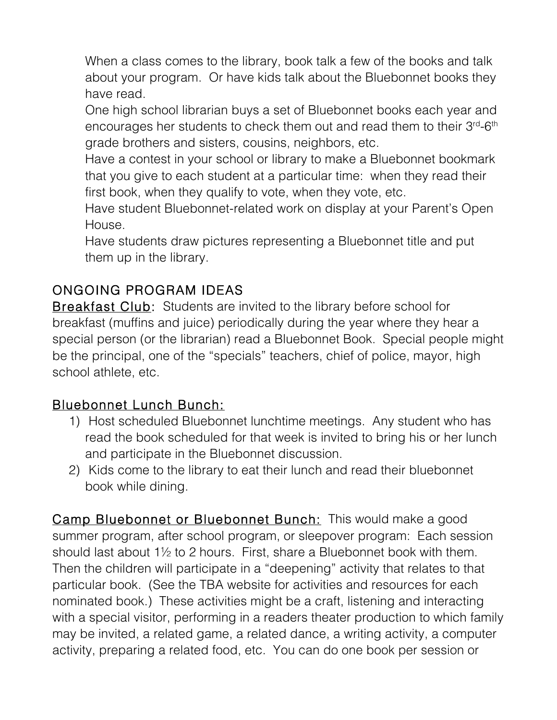When a class comes to the library, book talk a few of the books and talk about your program. Or have kids talk about the Bluebonnet books they have read.

 One high school librarian buys a set of Bluebonnet books each year and encourages her students to check them out and read them to their 3<sup>rd</sup>-6<sup>th</sup> grade brothers and sisters, cousins, neighbors, etc.

 Have a contest in your school or library to make a Bluebonnet bookmark that you give to each student at a particular time: when they read their first book, when they qualify to vote, when they vote, etc.

 Have student Bluebonnet-related work on display at your Parent's Open House.

 Have students draw pictures representing a Bluebonnet title and put them up in the library.

## ONGOING PROGRAM IDEAS

**Breakfast Club:** Students are invited to the library before school for breakfast (muffins and juice) periodically during the year where they hear a special person (or the librarian) read a Bluebonnet Book. Special people might be the principal, one of the "specials" teachers, chief of police, mayor, high school athlete, etc.

#### Bluebonnet Lunch Bunch:

- 1) Host scheduled Bluebonnet lunchtime meetings. Any student who has read the book scheduled for that week is invited to bring his or her lunch and participate in the Bluebonnet discussion.
- 2) Kids come to the library to eat their lunch and read their bluebonnet book while dining.

Camp Bluebonnet or Bluebonnet Bunch: This would make a good summer program, after school program, or sleepover program: Each session should last about 1½ to 2 hours. First, share a Bluebonnet book with them. Then the children will participate in a "deepening" activity that relates to that particular book. (See the TBA website for activities and resources for each nominated book.) These activities might be a craft, listening and interacting with a special visitor, performing in a readers theater production to which family may be invited, a related game, a related dance, a writing activity, a computer activity, preparing a related food, etc. You can do one book per session or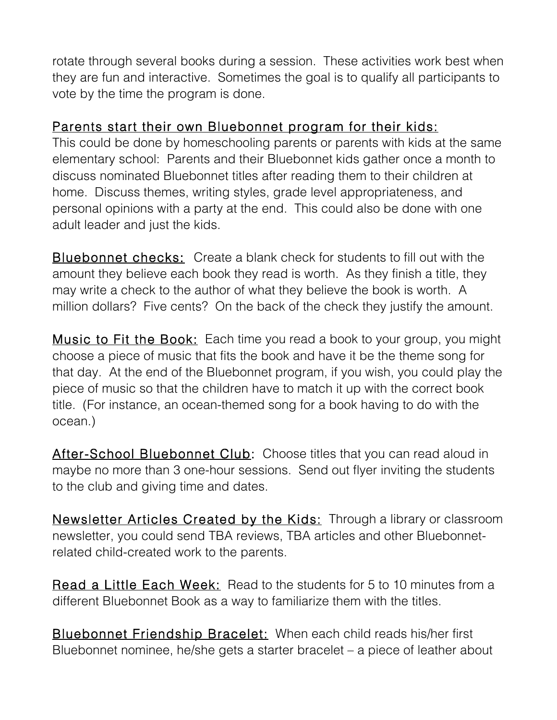rotate through several books during a session. These activities work best when they are fun and interactive. Sometimes the goal is to qualify all participants to vote by the time the program is done.

#### Parents start their own Bluebonnet program for their kids:

This could be done by homeschooling parents or parents with kids at the same elementary school: Parents and their Bluebonnet kids gather once a month to discuss nominated Bluebonnet titles after reading them to their children at home. Discuss themes, writing styles, grade level appropriateness, and personal opinions with a party at the end. This could also be done with one adult leader and just the kids.

Bluebonnet checks: Create a blank check for students to fill out with the amount they believe each book they read is worth. As they finish a title, they may write a check to the author of what they believe the book is worth. A million dollars? Five cents? On the back of the check they justify the amount.

**Music to Fit the Book:** Each time you read a book to your group, you might choose a piece of music that fits the book and have it be the theme song for that day. At the end of the Bluebonnet program, if you wish, you could play the piece of music so that the children have to match it up with the correct book title. (For instance, an ocean-themed song for a book having to do with the ocean.)

After-School Bluebonnet Club: Choose titles that you can read aloud in maybe no more than 3 one-hour sessions. Send out flyer inviting the students to the club and giving time and dates.

**Newsletter Articles Created by the Kids:** Through a library or classroom newsletter, you could send TBA reviews, TBA articles and other Bluebonnetrelated child-created work to the parents.

Read a Little Each Week: Read to the students for 5 to 10 minutes from a different Bluebonnet Book as a way to familiarize them with the titles.

**Bluebonnet Friendship Bracelet:** When each child reads his/her first Bluebonnet nominee, he/she gets a starter bracelet – a piece of leather about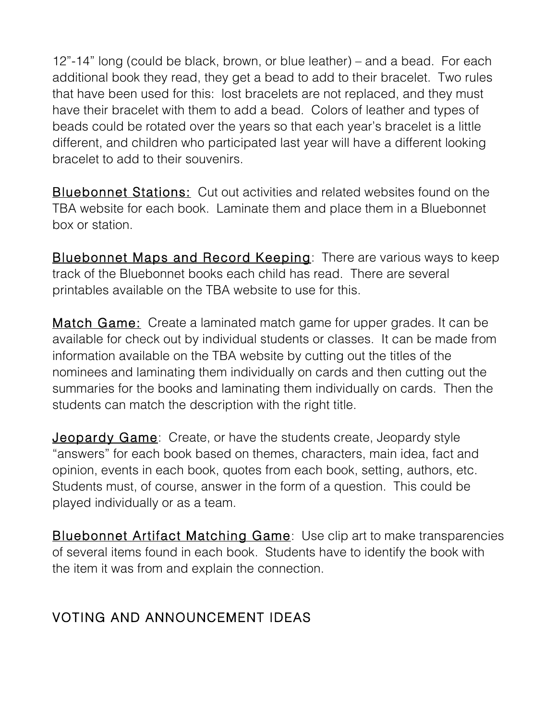12"-14" long (could be black, brown, or blue leather) – and a bead. For each additional book they read, they get a bead to add to their bracelet. Two rules that have been used for this: lost bracelets are not replaced, and they must have their bracelet with them to add a bead. Colors of leather and types of beads could be rotated over the years so that each year's bracelet is a little different, and children who participated last year will have a different looking bracelet to add to their souvenirs.

**Bluebonnet Stations:** Cut out activities and related websites found on the TBA website for each book. Laminate them and place them in a Bluebonnet box or station.

Bluebonnet Maps and Record Keeping: There are various ways to keep track of the Bluebonnet books each child has read. There are several printables available on the TBA website to use for this.

Match Game: Create a laminated match game for upper grades. It can be available for check out by individual students or classes. It can be made from information available on the TBA website by cutting out the titles of the nominees and laminating them individually on cards and then cutting out the summaries for the books and laminating them individually on cards. Then the students can match the description with the right title.

**Jeopardy Game:** Create, or have the students create, Jeopardy style "answers" for each book based on themes, characters, main idea, fact and opinion, events in each book, quotes from each book, setting, authors, etc. Students must, of course, answer in the form of a question. This could be played individually or as a team.

**Bluebonnet Artifact Matching Game:** Use clip art to make transparencies of several items found in each book. Students have to identify the book with the item it was from and explain the connection.

## VOTING AND ANNOUNCEMENT IDEAS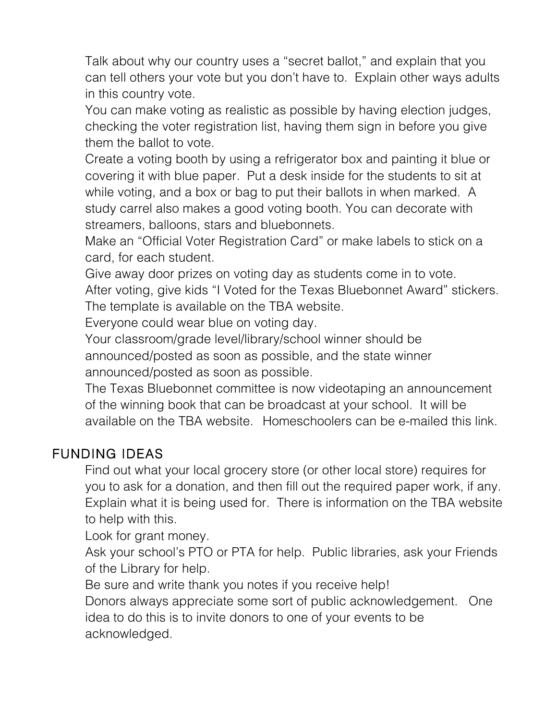Talk about why our country uses a "secret ballot," and explain that you can tell others your vote but you don't have to. Explain other ways adults in this country vote.

 You can make voting as realistic as possible by having election judges, checking the voter registration list, having them sign in before you give them the ballot to vote.

 Create a voting booth by using a refrigerator box and painting it blue or covering it with blue paper. Put a desk inside for the students to sit at while voting, and a box or bag to put their ballots in when marked. A study carrel also makes a good voting booth. You can decorate with streamers, balloons, stars and bluebonnets.

 Make an "Official Voter Registration Card" or make labels to stick on a card, for each student.

Give away door prizes on voting day as students come in to vote.

 After voting, give kids "I Voted for the Texas Bluebonnet Award" stickers. The template is available on the TBA website.

Everyone could wear blue on voting day.

 Your classroom/grade level/library/school winner should be announced/posted as soon as possible, and the state winner announced/posted as soon as possible.

 The Texas Bluebonnet committee is now videotaping an announcement of the winning book that can be broadcast at your school. It will be available on the TBA website. Homeschoolers can be e-mailed this link.

## FUNDING IDEAS

 Find out what your local grocery store (or other local store) requires for you to ask for a donation, and then fill out the required paper work, if any. Explain what it is being used for. There is information on the TBA website to help with this.

Look for grant money.

 Ask your school's PTO or PTA for help. Public libraries, ask your Friends of the Library for help.

Be sure and write thank you notes if you receive help!

 Donors always appreciate some sort of public acknowledgement. One idea to do this is to invite donors to one of your events to be acknowledged.